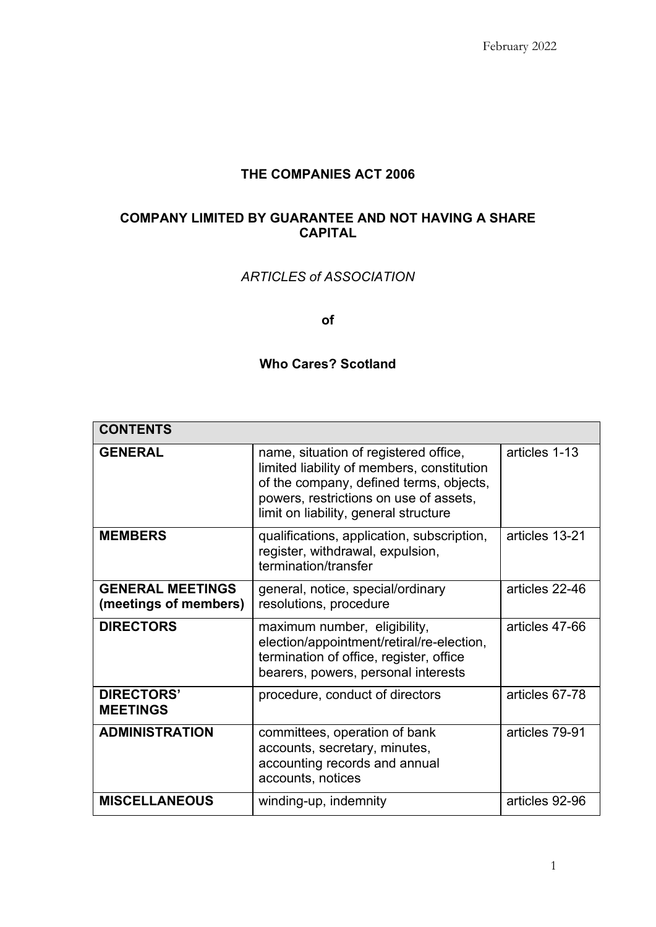## **THE COMPANIES ACT 2006**

# **COMPANY LIMITED BY GUARANTEE AND NOT HAVING A SHARE CAPITAL**

# *ARTICLES of ASSOCIATION*

**of**

# **Who Cares? Scotland**

| <b>CONTENTS</b>                                  |                                                                                                                                                                                                                   |                |
|--------------------------------------------------|-------------------------------------------------------------------------------------------------------------------------------------------------------------------------------------------------------------------|----------------|
| <b>GENERAL</b>                                   | name, situation of registered office,<br>limited liability of members, constitution<br>of the company, defined terms, objects,<br>powers, restrictions on use of assets,<br>limit on liability, general structure | articles 1-13  |
| <b>MEMBERS</b>                                   | qualifications, application, subscription,<br>register, withdrawal, expulsion,<br>termination/transfer                                                                                                            | articles 13-21 |
| <b>GENERAL MEETINGS</b><br>(meetings of members) | general, notice, special/ordinary<br>resolutions, procedure                                                                                                                                                       | articles 22-46 |
| <b>DIRECTORS</b>                                 | maximum number, eligibility,<br>election/appointment/retiral/re-election,<br>termination of office, register, office<br>bearers, powers, personal interests                                                       | articles 47-66 |
| <b>DIRECTORS'</b><br><b>MEETINGS</b>             | procedure, conduct of directors                                                                                                                                                                                   | articles 67-78 |
| <b>ADMINISTRATION</b>                            | committees, operation of bank<br>accounts, secretary, minutes,<br>accounting records and annual<br>accounts, notices                                                                                              | articles 79-91 |
| <b>MISCELLANEOUS</b>                             | winding-up, indemnity                                                                                                                                                                                             | articles 92-96 |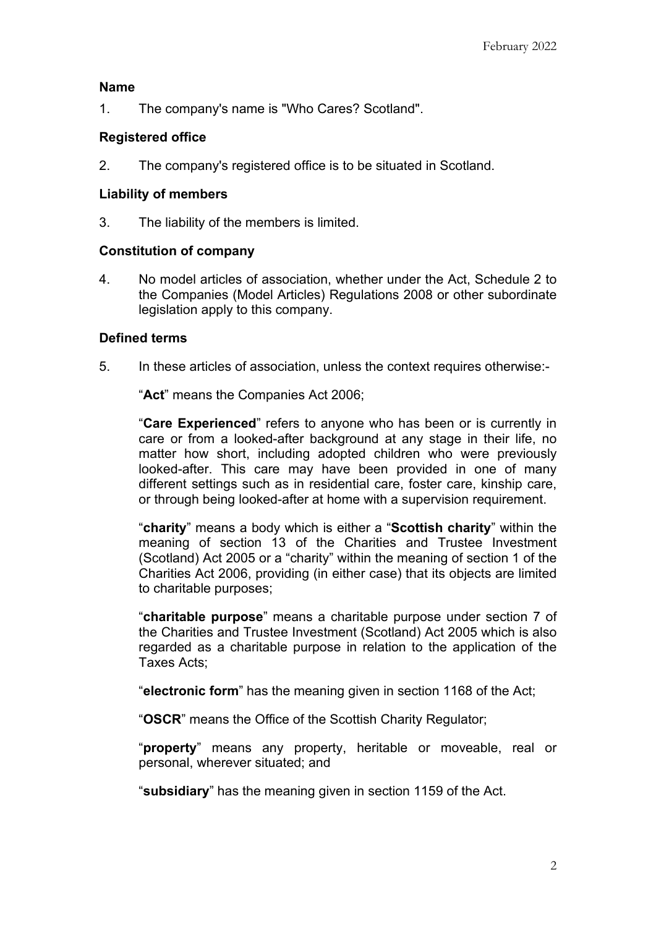#### **Name**

1. The company's name is "Who Cares? Scotland".

### **Registered office**

2. The company's registered office is to be situated in Scotland.

#### **Liability of members**

3. The liability of the members is limited.

#### **Constitution of company**

4. No model articles of association, whether under the Act, Schedule 2 to the Companies (Model Articles) Regulations 2008 or other subordinate legislation apply to this company.

#### **Defined terms**

5. In these articles of association, unless the context requires otherwise:-

"**Act**" means the Companies Act 2006;

"**Care Experienced**" refers to anyone who has been or is currently in care or from a looked-after background at any stage in their life, no matter how short, including adopted children who were previously looked-after. This care may have been provided in one of many different settings such as in residential care, foster care, kinship care, or through being looked-after at home with a supervision requirement.

"**charity**" means a body which is either a "**Scottish charity**" within the meaning of section 13 of the Charities and Trustee Investment (Scotland) Act 2005 or a "charity" within the meaning of section 1 of the Charities Act 2006, providing (in either case) that its objects are limited to charitable purposes;

"**charitable purpose**" means a charitable purpose under section 7 of the Charities and Trustee Investment (Scotland) Act 2005 which is also regarded as a charitable purpose in relation to the application of the Taxes Acts;

"**electronic form**" has the meaning given in section 1168 of the Act;

"**OSCR**" means the Office of the Scottish Charity Regulator;

"**property**" means any property, heritable or moveable, real or personal, wherever situated; and

"**subsidiary**" has the meaning given in section 1159 of the Act.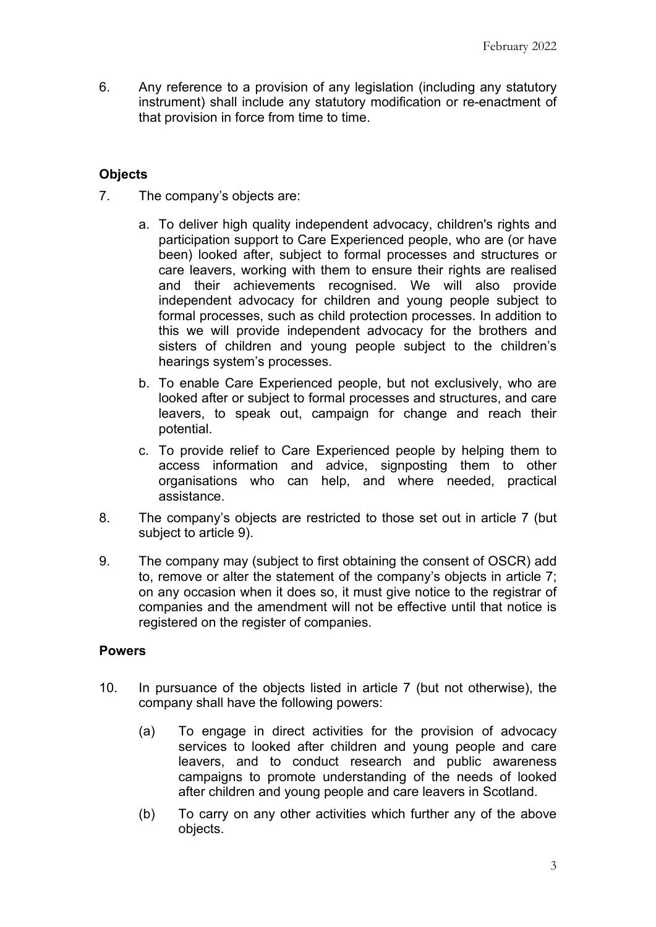6. Any reference to a provision of any legislation (including any statutory instrument) shall include any statutory modification or re-enactment of that provision in force from time to time.

# **Objects**

- <span id="page-2-0"></span>7. The company's objects are:
	- a. To deliver high quality independent advocacy, children's rights and participation support to Care Experienced people, who are (or have been) looked after, subject to formal processes and structures or care leavers, working with them to ensure their rights are realised and their achievements recognised. We will also provide independent advocacy for children and young people subject to formal processes, such as child protection processes. In addition to this we will provide independent advocacy for the brothers and sisters of children and young people subject to the children's hearings system's processes.
	- b. To enable Care Experienced people, but not exclusively, who are looked after or subject to formal processes and structures, and care leavers, to speak out, campaign for change and reach their potential.
	- c. To provide relief to Care Experienced people by helping them to access information and advice, signposting them to other organisations who can help, and where needed, practical assistance.
- 8. The company's objects are restricted to those set out in article [7](#page-2-0) (but subject to article [9\)](#page-2-1).
- <span id="page-2-1"></span>9. The company may (subject to first obtaining the consent of OSCR) add to, remove or alter the statement of the company's objects in article [7;](#page-2-0) on any occasion when it does so, it must give notice to the registrar of companies and the amendment will not be effective until that notice is registered on the register of companies.

### **Powers**

- 10. In pursuance of the objects listed in article [7](#page-2-0) (but not otherwise), the company shall have the following powers:
	- (a) To engage in direct activities for the provision of advocacy services to looked after children and young people and care leavers, and to conduct research and public awareness campaigns to promote understanding of the needs of looked after children and young people and care leavers in Scotland.
	- (b) To carry on any other activities which further any of the above objects.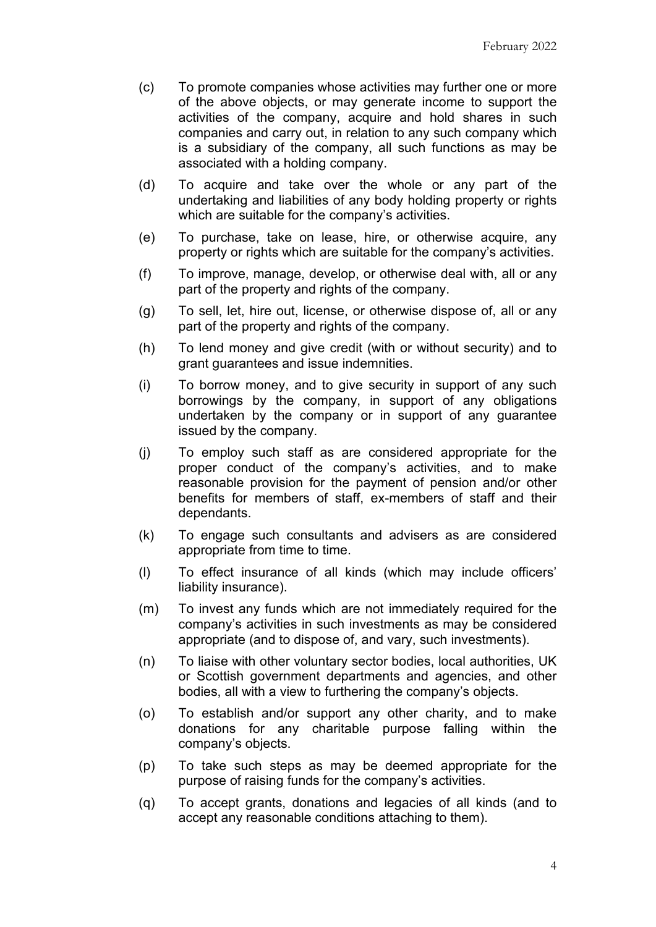- (c) To promote companies whose activities may further one or more of the above objects, or may generate income to support the activities of the company, acquire and hold shares in such companies and carry out, in relation to any such company which is a subsidiary of the company, all such functions as may be associated with a holding company.
- (d) To acquire and take over the whole or any part of the undertaking and liabilities of any body holding property or rights which are suitable for the company's activities.
- (e) To purchase, take on lease, hire, or otherwise acquire, any property or rights which are suitable for the company's activities.
- (f) To improve, manage, develop, or otherwise deal with, all or any part of the property and rights of the company.
- (g) To sell, let, hire out, license, or otherwise dispose of, all or any part of the property and rights of the company.
- (h) To lend money and give credit (with or without security) and to grant guarantees and issue indemnities.
- (i) To borrow money, and to give security in support of any such borrowings by the company, in support of any obligations undertaken by the company or in support of any guarantee issued by the company.
- (j) To employ such staff as are considered appropriate for the proper conduct of the company's activities, and to make reasonable provision for the payment of pension and/or other benefits for members of staff, ex-members of staff and their dependants.
- (k) To engage such consultants and advisers as are considered appropriate from time to time.
- (l) To effect insurance of all kinds (which may include officers' liability insurance).
- (m) To invest any funds which are not immediately required for the company's activities in such investments as may be considered appropriate (and to dispose of, and vary, such investments).
- (n) To liaise with other voluntary sector bodies, local authorities, UK or Scottish government departments and agencies, and other bodies, all with a view to furthering the company's objects.
- (o) To establish and/or support any other charity, and to make donations for any charitable purpose falling within the company's objects.
- (p) To take such steps as may be deemed appropriate for the purpose of raising funds for the company's activities.
- (q) To accept grants, donations and legacies of all kinds (and to accept any reasonable conditions attaching to them).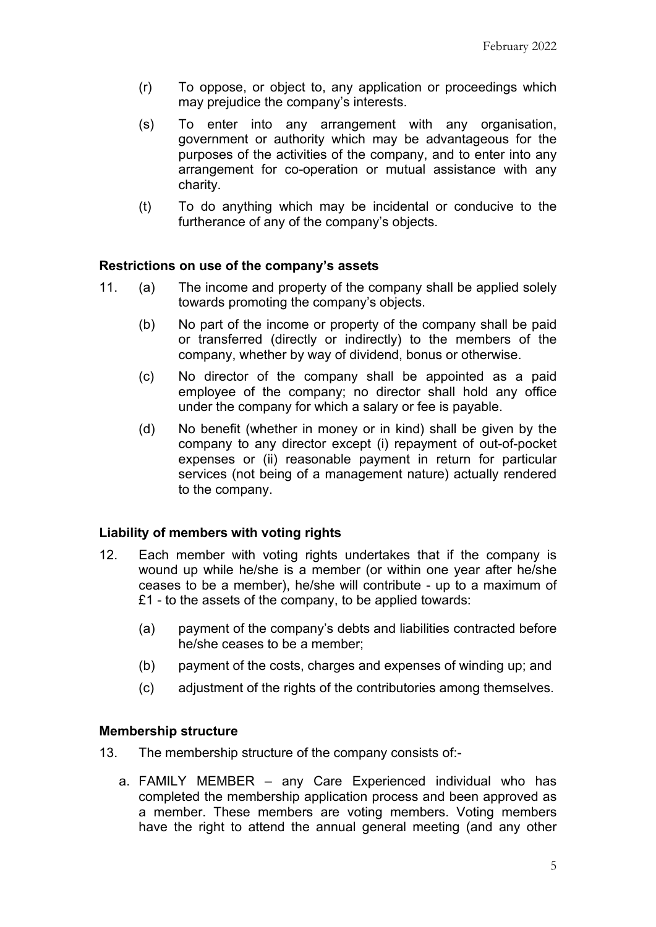- (r) To oppose, or object to, any application or proceedings which may prejudice the company's interests.
- (s) To enter into any arrangement with any organisation, government or authority which may be advantageous for the purposes of the activities of the company, and to enter into any arrangement for co-operation or mutual assistance with any charity.
- (t) To do anything which may be incidental or conducive to the furtherance of any of the company's objects.

### **Restrictions on use of the company's assets**

- 11. (a) The income and property of the company shall be applied solely towards promoting the company's objects.
	- (b) No part of the income or property of the company shall be paid or transferred (directly or indirectly) to the members of the company, whether by way of dividend, bonus or otherwise.
	- (c) No director of the company shall be appointed as a paid employee of the company; no director shall hold any office under the company for which a salary or fee is payable.
	- (d) No benefit (whether in money or in kind) shall be given by the company to any director except (i) repayment of out-of-pocket expenses or (ii) reasonable payment in return for particular services (not being of a management nature) actually rendered to the company.

### **Liability of members with voting rights**

- 12. Each member with voting rights undertakes that if the company is wound up while he/she is a member (or within one year after he/she ceases to be a member), he/she will contribute - up to a maximum of £1 - to the assets of the company, to be applied towards:
	- (a) payment of the company's debts and liabilities contracted before he/she ceases to be a member;
	- (b) payment of the costs, charges and expenses of winding up; and
	- (c) adjustment of the rights of the contributories among themselves.

#### **Membership structure**

- 13. The membership structure of the company consists of:
	- a. FAMILY MEMBER any Care Experienced individual who has completed the membership application process and been approved as a member. These members are voting members. Voting members have the right to attend the annual general meeting (and any other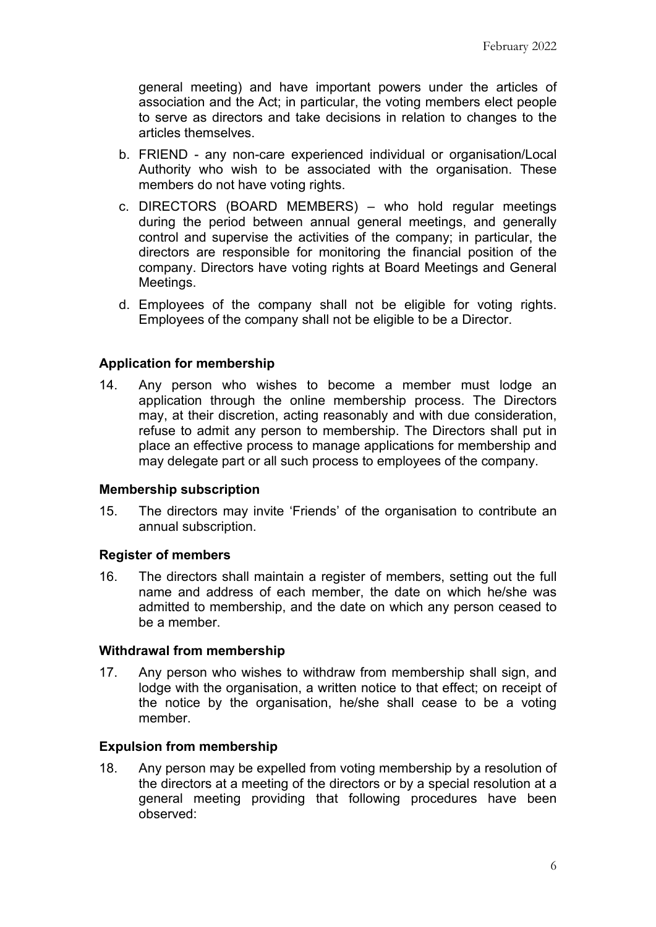general meeting) and have important powers under the articles of association and the Act; in particular, the voting members elect people to serve as directors and take decisions in relation to changes to the articles themselves.

- b. FRIEND any non-care experienced individual or organisation/Local Authority who wish to be associated with the organisation. These members do not have voting rights.
- c. DIRECTORS (BOARD MEMBERS) who hold regular meetings during the period between annual general meetings, and generally control and supervise the activities of the company; in particular, the directors are responsible for monitoring the financial position of the company. Directors have voting rights at Board Meetings and General Meetings.
- d. Employees of the company shall not be eligible for voting rights. Employees of the company shall not be eligible to be a Director.

### **Application for membership**

14. Any person who wishes to become a member must lodge an application through the online membership process. The Directors may, at their discretion, acting reasonably and with due consideration, refuse to admit any person to membership. The Directors shall put in place an effective process to manage applications for membership and may delegate part or all such process to employees of the company.

#### **Membership subscription**

15. The directors may invite 'Friends' of the organisation to contribute an annual subscription.

### **Register of members**

16. The directors shall maintain a register of members, setting out the full name and address of each member, the date on which he/she was admitted to membership, and the date on which any person ceased to be a member.

#### **Withdrawal from membership**

17. Any person who wishes to withdraw from membership shall sign, and lodge with the organisation, a written notice to that effect; on receipt of the notice by the organisation, he/she shall cease to be a voting member.

#### **Expulsion from membership**

18. Any person may be expelled from voting membership by a resolution of the directors at a meeting of the directors or by a special resolution at a general meeting providing that following procedures have been observed: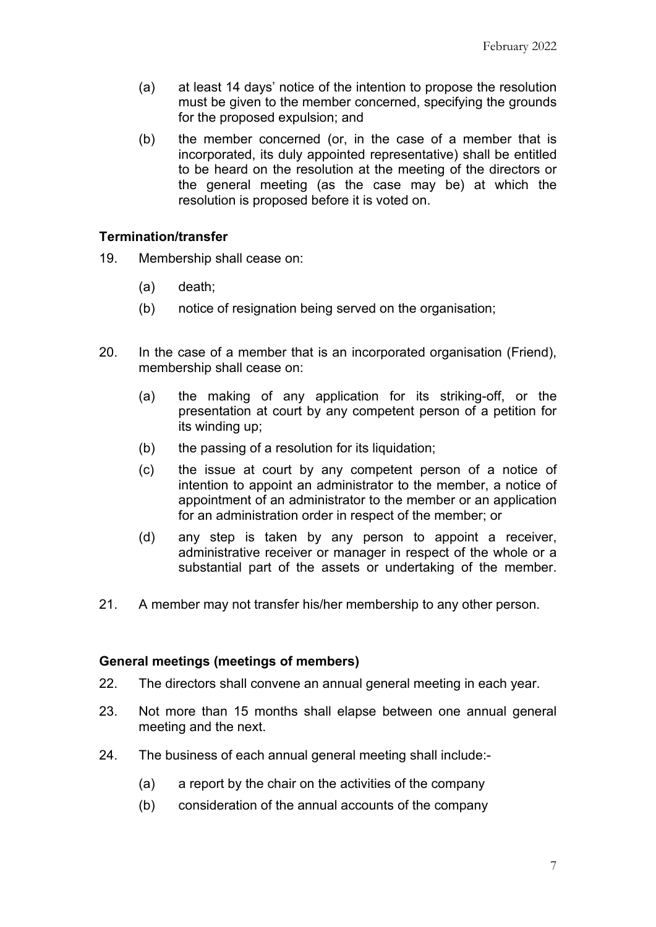- (a) at least 14 days' notice of the intention to propose the resolution must be given to the member concerned, specifying the grounds for the proposed expulsion; and
- (b) the member concerned (or, in the case of a member that is incorporated, its duly appointed representative) shall be entitled to be heard on the resolution at the meeting of the directors or the general meeting (as the case may be) at which the resolution is proposed before it is voted on.

# **Termination/transfer**

- 19. Membership shall cease on:
	- (a) death;
	- (b) notice of resignation being served on the organisation;
- 20. In the case of a member that is an incorporated organisation (Friend), membership shall cease on:
	- (a) the making of any application for its striking-off, or the presentation at court by any competent person of a petition for its winding up;
	- (b) the passing of a resolution for its liquidation;
	- (c) the issue at court by any competent person of a notice of intention to appoint an administrator to the member, a notice of appointment of an administrator to the member or an application for an administration order in respect of the member; or
	- (d) any step is taken by any person to appoint a receiver, administrative receiver or manager in respect of the whole or a substantial part of the assets or undertaking of the member.
- 21. A member may not transfer his/her membership to any other person.

### **General meetings (meetings of members)**

- 22. The directors shall convene an annual general meeting in each year.
- 23. Not more than 15 months shall elapse between one annual general meeting and the next.
- 24. The business of each annual general meeting shall include:-
	- (a) a report by the chair on the activities of the company
	- (b) consideration of the annual accounts of the company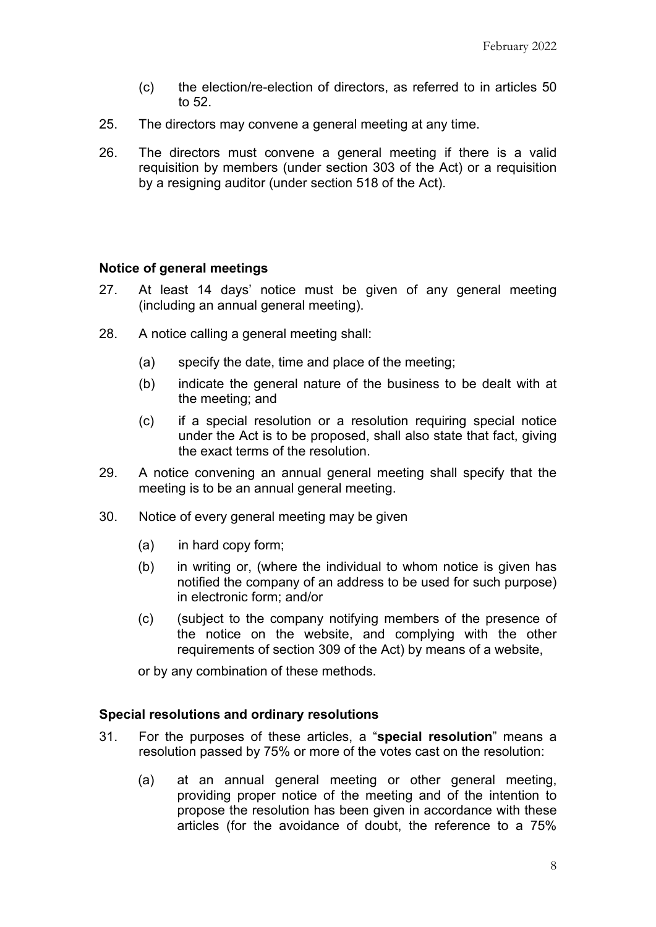- (c) the election/re-election of directors, as referred to in articles 50 to 52.
- 25. The directors may convene a general meeting at any time.
- 26. The directors must convene a general meeting if there is a valid requisition by members (under section 303 of the Act) or a requisition by a resigning auditor (under section 518 of the Act).

### **Notice of general meetings**

- 27. At least 14 days' notice must be given of any general meeting (including an annual general meeting).
- 28. A notice calling a general meeting shall:
	- (a) specify the date, time and place of the meeting;
	- (b) indicate the general nature of the business to be dealt with at the meeting; and
	- (c) if a special resolution or a resolution requiring special notice under the Act is to be proposed, shall also state that fact, giving the exact terms of the resolution.
- 29. A notice convening an annual general meeting shall specify that the meeting is to be an annual general meeting.
- 30. Notice of every general meeting may be given
	- (a) in hard copy form;
	- (b) in writing or, (where the individual to whom notice is given has notified the company of an address to be used for such purpose) in electronic form; and/or
	- (c) (subject to the company notifying members of the presence of the notice on the website, and complying with the other requirements of section 309 of the Act) by means of a website,

or by any combination of these methods.

### **Special resolutions and ordinary resolutions**

- 31. For the purposes of these articles, a "**special resolution**" means a resolution passed by 75% or more of the votes cast on the resolution:
	- (a) at an annual general meeting or other general meeting, providing proper notice of the meeting and of the intention to propose the resolution has been given in accordance with these articles (for the avoidance of doubt, the reference to a 75%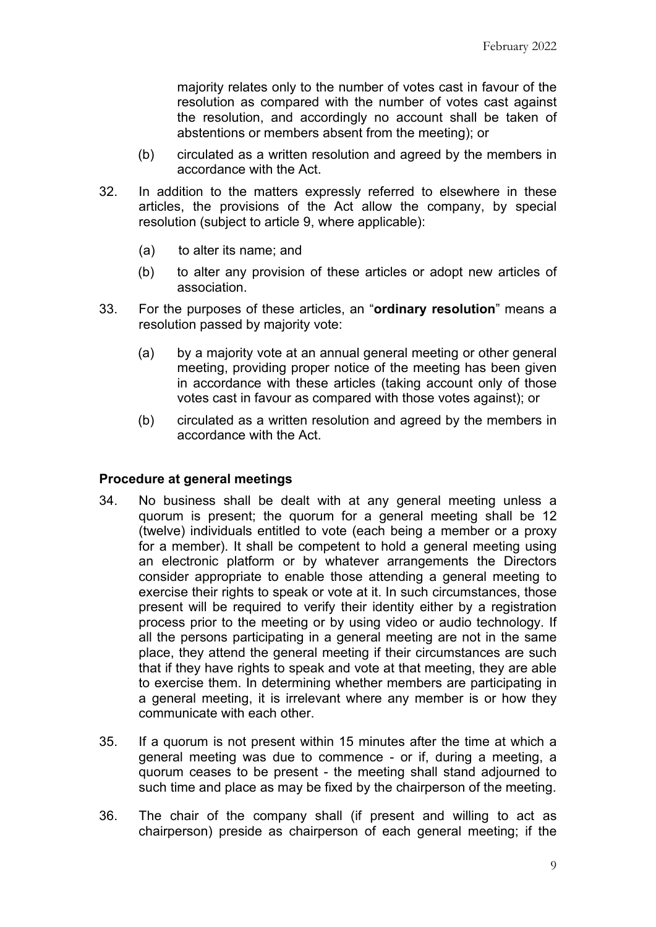majority relates only to the number of votes cast in favour of the resolution as compared with the number of votes cast against the resolution, and accordingly no account shall be taken of abstentions or members absent from the meeting); or

- (b) circulated as a written resolution and agreed by the members in accordance with the Act.
- 32. In addition to the matters expressly referred to elsewhere in these articles, the provisions of the Act allow the company, by special resolution (subject to article [9,](#page-2-1) where applicable):
	- (a) to alter its name; and
	- (b) to alter any provision of these articles or adopt new articles of association.
- 33. For the purposes of these articles, an "**ordinary resolution**" means a resolution passed by majority vote:
	- (a) by a majority vote at an annual general meeting or other general meeting, providing proper notice of the meeting has been given in accordance with these articles (taking account only of those votes cast in favour as compared with those votes against); or
	- (b) circulated as a written resolution and agreed by the members in accordance with the Act.

### **Procedure at general meetings**

- 34. No business shall be dealt with at any general meeting unless a quorum is present; the quorum for a general meeting shall be 12 (twelve) individuals entitled to vote (each being a member or a proxy for a member). It shall be competent to hold a general meeting using an electronic platform or by whatever arrangements the Directors consider appropriate to enable those attending a general meeting to exercise their rights to speak or vote at it. In such circumstances, those present will be required to verify their identity either by a registration process prior to the meeting or by using video or audio technology. If all the persons participating in a general meeting are not in the same place, they attend the general meeting if their circumstances are such that if they have rights to speak and vote at that meeting, they are able to exercise them. In determining whether members are participating in a general meeting, it is irrelevant where any member is or how they communicate with each other.
- 35. If a quorum is not present within 15 minutes after the time at which a general meeting was due to commence - or if, during a meeting, a quorum ceases to be present - the meeting shall stand adjourned to such time and place as may be fixed by the chairperson of the meeting.
- 36. The chair of the company shall (if present and willing to act as chairperson) preside as chairperson of each general meeting; if the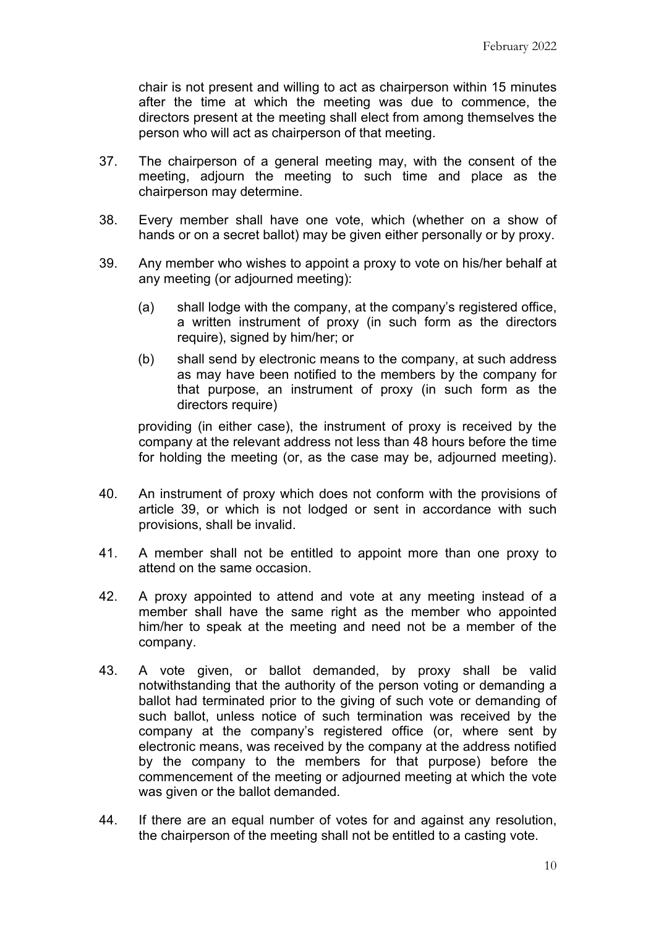chair is not present and willing to act as chairperson within 15 minutes after the time at which the meeting was due to commence, the directors present at the meeting shall elect from among themselves the person who will act as chairperson of that meeting.

- 37. The chairperson of a general meeting may, with the consent of the meeting, adjourn the meeting to such time and place as the chairperson may determine.
- 38. Every member shall have one vote, which (whether on a show of hands or on a secret ballot) may be given either personally or by proxy.
- 39. Any member who wishes to appoint a proxy to vote on his/her behalf at any meeting (or adjourned meeting):
	- (a) shall lodge with the company, at the company's registered office, a written instrument of proxy (in such form as the directors require), signed by him/her; or
	- (b) shall send by electronic means to the company, at such address as may have been notified to the members by the company for that purpose, an instrument of proxy (in such form as the directors require)

providing (in either case), the instrument of proxy is received by the company at the relevant address not less than 48 hours before the time for holding the meeting (or, as the case may be, adjourned meeting).

- 40. An instrument of proxy which does not conform with the provisions of article 39, or which is not lodged or sent in accordance with such provisions, shall be invalid.
- 41. A member shall not be entitled to appoint more than one proxy to attend on the same occasion.
- 42. A proxy appointed to attend and vote at any meeting instead of a member shall have the same right as the member who appointed him/her to speak at the meeting and need not be a member of the company.
- 43. A vote given, or ballot demanded, by proxy shall be valid notwithstanding that the authority of the person voting or demanding a ballot had terminated prior to the giving of such vote or demanding of such ballot, unless notice of such termination was received by the company at the company's registered office (or, where sent by electronic means, was received by the company at the address notified by the company to the members for that purpose) before the commencement of the meeting or adjourned meeting at which the vote was given or the ballot demanded.
- 44. If there are an equal number of votes for and against any resolution, the chairperson of the meeting shall not be entitled to a casting vote.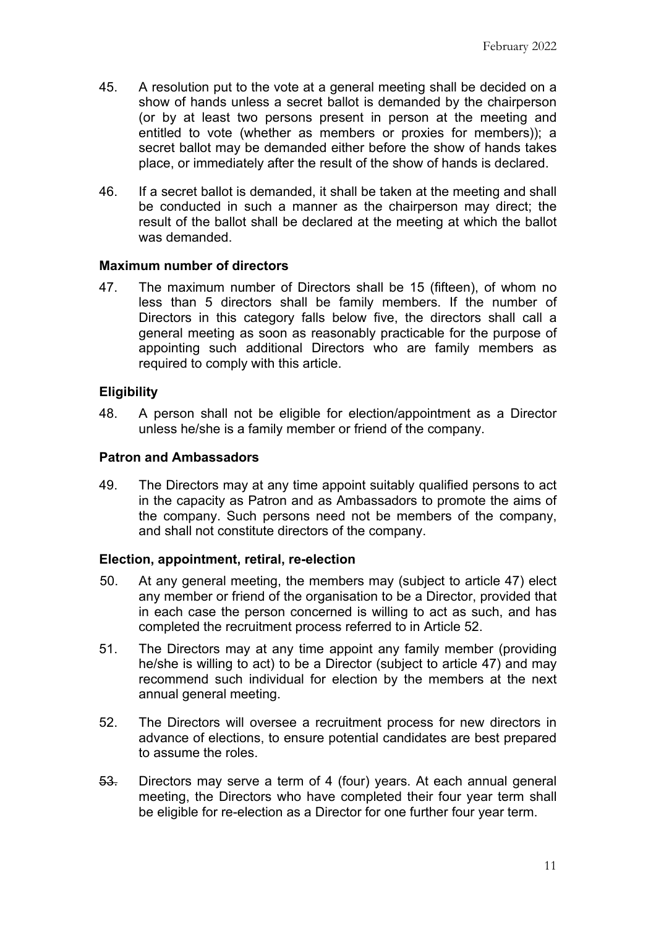- 45. A resolution put to the vote at a general meeting shall be decided on a show of hands unless a secret ballot is demanded by the chairperson (or by at least two persons present in person at the meeting and entitled to vote (whether as members or proxies for members)); a secret ballot may be demanded either before the show of hands takes place, or immediately after the result of the show of hands is declared.
- 46. If a secret ballot is demanded, it shall be taken at the meeting and shall be conducted in such a manner as the chairperson may direct; the result of the ballot shall be declared at the meeting at which the ballot was demanded.

### **Maximum number of directors**

47. The maximum number of Directors shall be 15 (fifteen), of whom no less than 5 directors shall be family members. If the number of Directors in this category falls below five, the directors shall call a general meeting as soon as reasonably practicable for the purpose of appointing such additional Directors who are family members as required to comply with this article.

# **Eligibility**

48. A person shall not be eligible for election/appointment as a Director unless he/she is a family member or friend of the company.

### **Patron and Ambassadors**

49. The Directors may at any time appoint suitably qualified persons to act in the capacity as Patron and as Ambassadors to promote the aims of the company. Such persons need not be members of the company, and shall not constitute directors of the company.

### **Election, appointment, retiral, re-election**

- 50. At any general meeting, the members may (subject to article 47) elect any member or friend of the organisation to be a Director, provided that in each case the person concerned is willing to act as such, and has completed the recruitment process referred to in Article 52.
- 51. The Directors may at any time appoint any family member (providing he/she is willing to act) to be a Director (subject to article 47) and may recommend such individual for election by the members at the next annual general meeting.
- 52. The Directors will oversee a recruitment process for new directors in advance of elections, to ensure potential candidates are best prepared to assume the roles.
- 53. Directors may serve a term of 4 (four) years. At each annual general meeting, the Directors who have completed their four year term shall be eligible for re-election as a Director for one further four year term.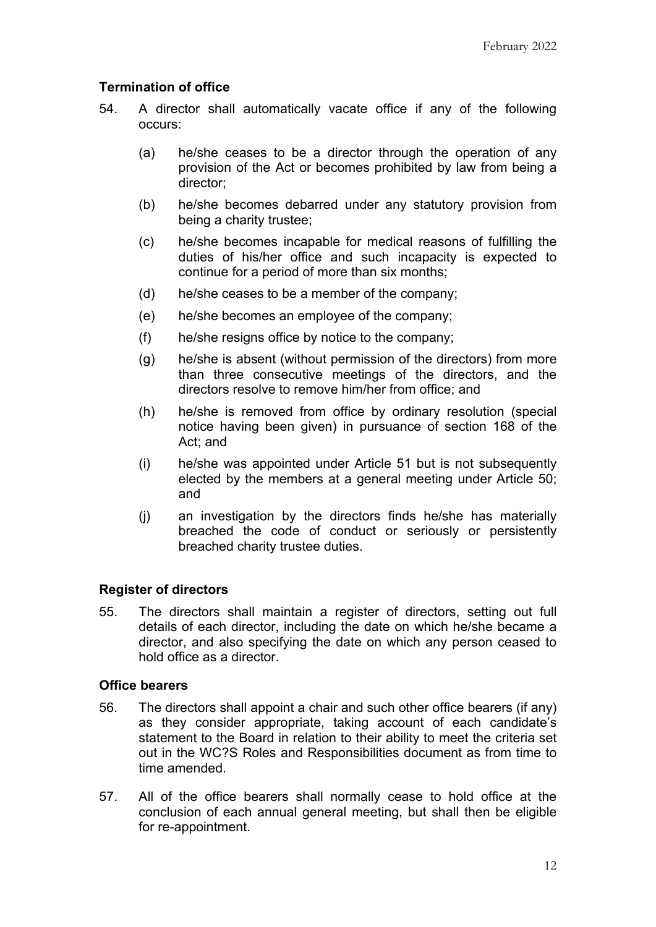# **Termination of office**

- 54. A director shall automatically vacate office if any of the following occurs:
	- (a) he/she ceases to be a director through the operation of any provision of the Act or becomes prohibited by law from being a director;
	- (b) he/she becomes debarred under any statutory provision from being a charity trustee;
	- (c) he/she becomes incapable for medical reasons of fulfilling the duties of his/her office and such incapacity is expected to continue for a period of more than six months;
	- (d) he/she ceases to be a member of the company;
	- (e) he/she becomes an employee of the company;
	- (f) he/she resigns office by notice to the company;
	- (g) he/she is absent (without permission of the directors) from more than three consecutive meetings of the directors, and the directors resolve to remove him/her from office; and
	- (h) he/she is removed from office by ordinary resolution (special notice having been given) in pursuance of section 168 of the Act; and
	- (i) he/she was appointed under Article 51 but is not subsequently elected by the members at a general meeting under Article 50; and
	- (j) an investigation by the directors finds he/she has materially breached the code of conduct or seriously or persistently breached charity trustee duties.

### **Register of directors**

55. The directors shall maintain a register of directors, setting out full details of each director, including the date on which he/she became a director, and also specifying the date on which any person ceased to hold office as a director.

#### **Office bearers**

- 56. The directors shall appoint a chair and such other office bearers (if any) as they consider appropriate, taking account of each candidate's statement to the Board in relation to their ability to meet the criteria set out in the WC?S Roles and Responsibilities document as from time to time amended.
- 57. All of the office bearers shall normally cease to hold office at the conclusion of each annual general meeting, but shall then be eligible for re-appointment.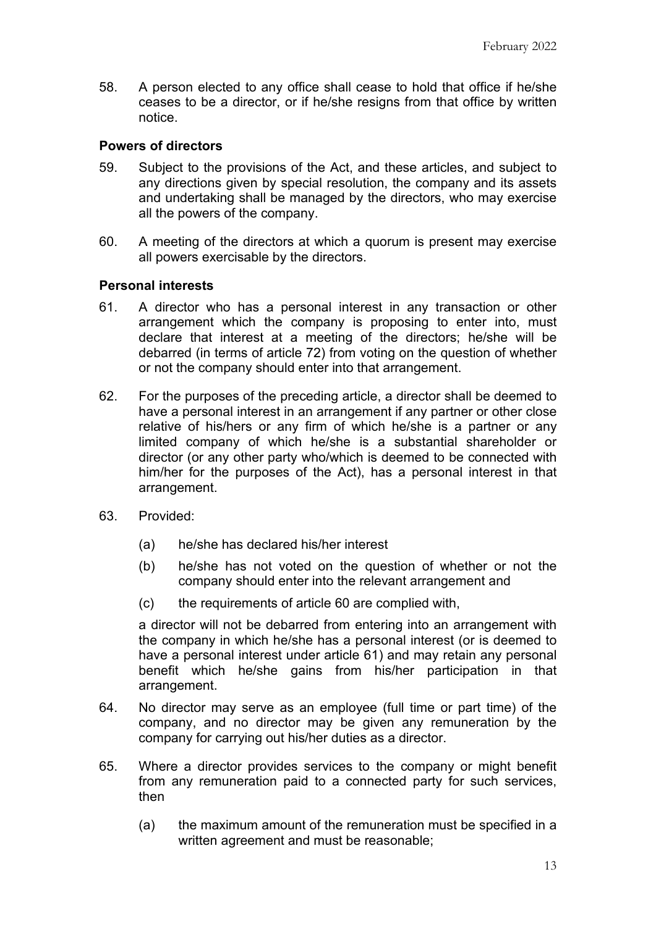58. A person elected to any office shall cease to hold that office if he/she ceases to be a director, or if he/she resigns from that office by written notice.

## **Powers of directors**

- 59. Subject to the provisions of the Act, and these articles, and subject to any directions given by special resolution, the company and its assets and undertaking shall be managed by the directors, who may exercise all the powers of the company.
- 60. A meeting of the directors at which a quorum is present may exercise all powers exercisable by the directors.

## **Personal interests**

- 61. A director who has a personal interest in any transaction or other arrangement which the company is proposing to enter into, must declare that interest at a meeting of the directors; he/she will be debarred (in terms of article 72) from voting on the question of whether or not the company should enter into that arrangement.
- 62. For the purposes of the preceding article, a director shall be deemed to have a personal interest in an arrangement if any partner or other close relative of his/hers or any firm of which he/she is a partner or any limited company of which he/she is a substantial shareholder or director (or any other party who/which is deemed to be connected with him/her for the purposes of the Act), has a personal interest in that arrangement.
- 63. Provided:
	- (a) he/she has declared his/her interest
	- (b) he/she has not voted on the question of whether or not the company should enter into the relevant arrangement and
	- (c) the requirements of article 60 are complied with,

a director will not be debarred from entering into an arrangement with the company in which he/she has a personal interest (or is deemed to have a personal interest under article 61) and may retain any personal benefit which he/she gains from his/her participation in that arrangement.

- 64. No director may serve as an employee (full time or part time) of the company, and no director may be given any remuneration by the company for carrying out his/her duties as a director.
- 65. Where a director provides services to the company or might benefit from any remuneration paid to a connected party for such services, then
	- (a) the maximum amount of the remuneration must be specified in a written agreement and must be reasonable;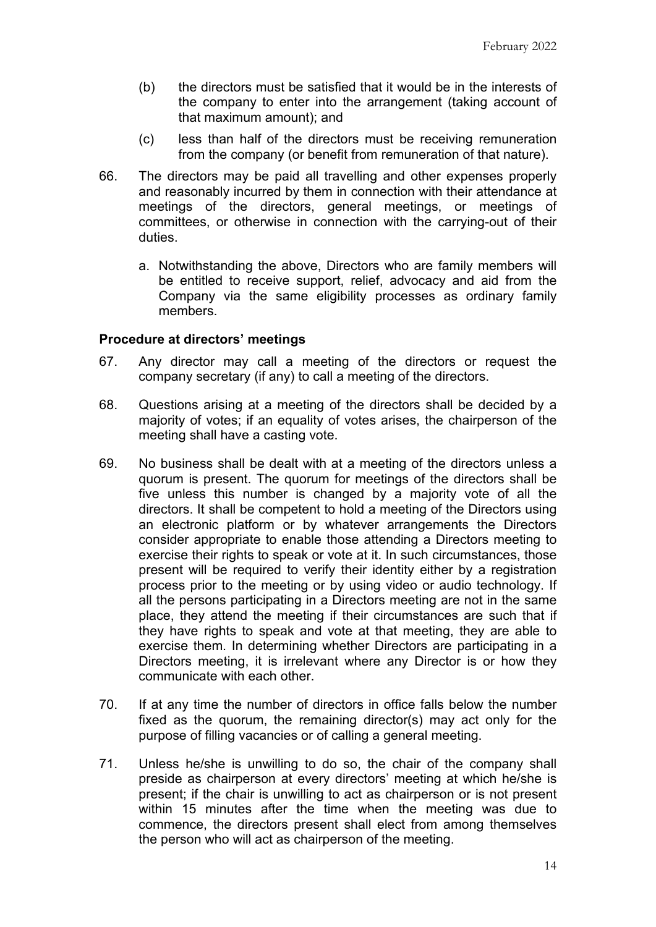- (b) the directors must be satisfied that it would be in the interests of the company to enter into the arrangement (taking account of that maximum amount); and
- (c) less than half of the directors must be receiving remuneration from the company (or benefit from remuneration of that nature).
- 66. The directors may be paid all travelling and other expenses properly and reasonably incurred by them in connection with their attendance at meetings of the directors, general meetings, or meetings of committees, or otherwise in connection with the carrying-out of their duties.
	- a. Notwithstanding the above, Directors who are family members will be entitled to receive support, relief, advocacy and aid from the Company via the same eligibility processes as ordinary family members.

### **Procedure at directors' meetings**

- 67. Any director may call a meeting of the directors or request the company secretary (if any) to call a meeting of the directors.
- 68. Questions arising at a meeting of the directors shall be decided by a majority of votes; if an equality of votes arises, the chairperson of the meeting shall have a casting vote.
- 69. No business shall be dealt with at a meeting of the directors unless a quorum is present. The quorum for meetings of the directors shall be five unless this number is changed by a majority vote of all the directors. It shall be competent to hold a meeting of the Directors using an electronic platform or by whatever arrangements the Directors consider appropriate to enable those attending a Directors meeting to exercise their rights to speak or vote at it. In such circumstances, those present will be required to verify their identity either by a registration process prior to the meeting or by using video or audio technology. If all the persons participating in a Directors meeting are not in the same place, they attend the meeting if their circumstances are such that if they have rights to speak and vote at that meeting, they are able to exercise them. In determining whether Directors are participating in a Directors meeting, it is irrelevant where any Director is or how they communicate with each other.
- 70. If at any time the number of directors in office falls below the number fixed as the quorum, the remaining director(s) may act only for the purpose of filling vacancies or of calling a general meeting.
- 71. Unless he/she is unwilling to do so, the chair of the company shall preside as chairperson at every directors' meeting at which he/she is present; if the chair is unwilling to act as chairperson or is not present within 15 minutes after the time when the meeting was due to commence, the directors present shall elect from among themselves the person who will act as chairperson of the meeting.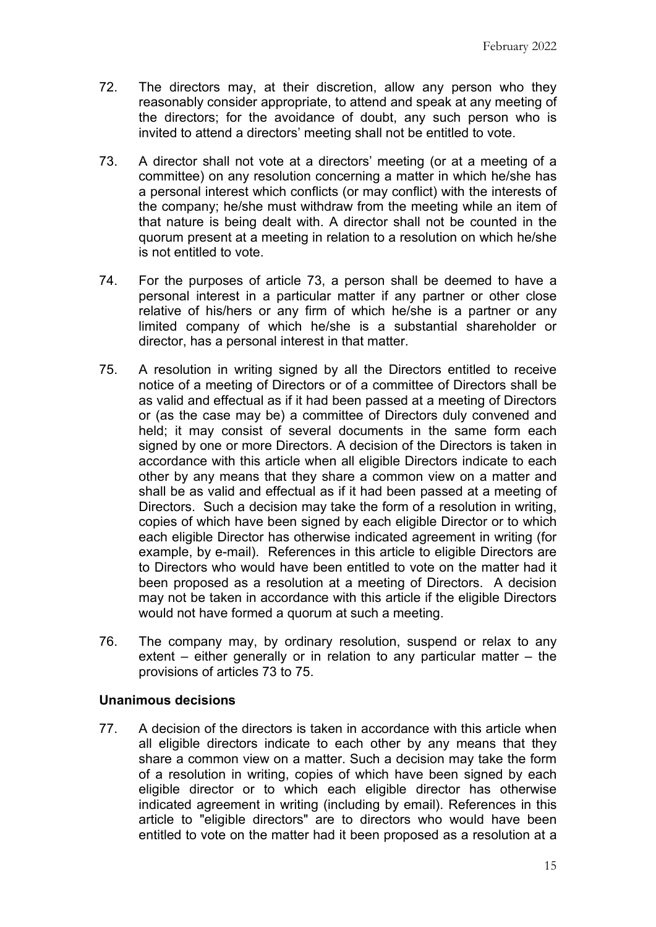- 72. The directors may, at their discretion, allow any person who they reasonably consider appropriate, to attend and speak at any meeting of the directors; for the avoidance of doubt, any such person who is invited to attend a directors' meeting shall not be entitled to vote.
- 73. A director shall not vote at a directors' meeting (or at a meeting of a committee) on any resolution concerning a matter in which he/she has a personal interest which conflicts (or may conflict) with the interests of the company; he/she must withdraw from the meeting while an item of that nature is being dealt with. A director shall not be counted in the quorum present at a meeting in relation to a resolution on which he/she is not entitled to vote.
- 74. For the purposes of article 73, a person shall be deemed to have a personal interest in a particular matter if any partner or other close relative of his/hers or any firm of which he/she is a partner or any limited company of which he/she is a substantial shareholder or director, has a personal interest in that matter.
- 75. A resolution in writing signed by all the Directors entitled to receive notice of a meeting of Directors or of a committee of Directors shall be as valid and effectual as if it had been passed at a meeting of Directors or (as the case may be) a committee of Directors duly convened and held; it may consist of several documents in the same form each signed by one or more Directors. A decision of the Directors is taken in accordance with this article when all eligible Directors indicate to each other by any means that they share a common view on a matter and shall be as valid and effectual as if it had been passed at a meeting of Directors. Such a decision may take the form of a resolution in writing, copies of which have been signed by each eligible Director or to which each eligible Director has otherwise indicated agreement in writing (for example, by e-mail). References in this article to eligible Directors are to Directors who would have been entitled to vote on the matter had it been proposed as a resolution at a meeting of Directors. A decision may not be taken in accordance with this article if the eligible Directors would not have formed a quorum at such a meeting.
- 76. The company may, by ordinary resolution, suspend or relax to any extent – either generally or in relation to any particular matter – the provisions of articles 73 to 75.

#### **Unanimous decisions**

77. A decision of the directors is taken in accordance with this article when all eligible directors indicate to each other by any means that they share a common view on a matter. Such a decision may take the form of a resolution in writing, copies of which have been signed by each eligible director or to which each eligible director has otherwise indicated agreement in writing (including by email). References in this article to "eligible directors" are to directors who would have been entitled to vote on the matter had it been proposed as a resolution at a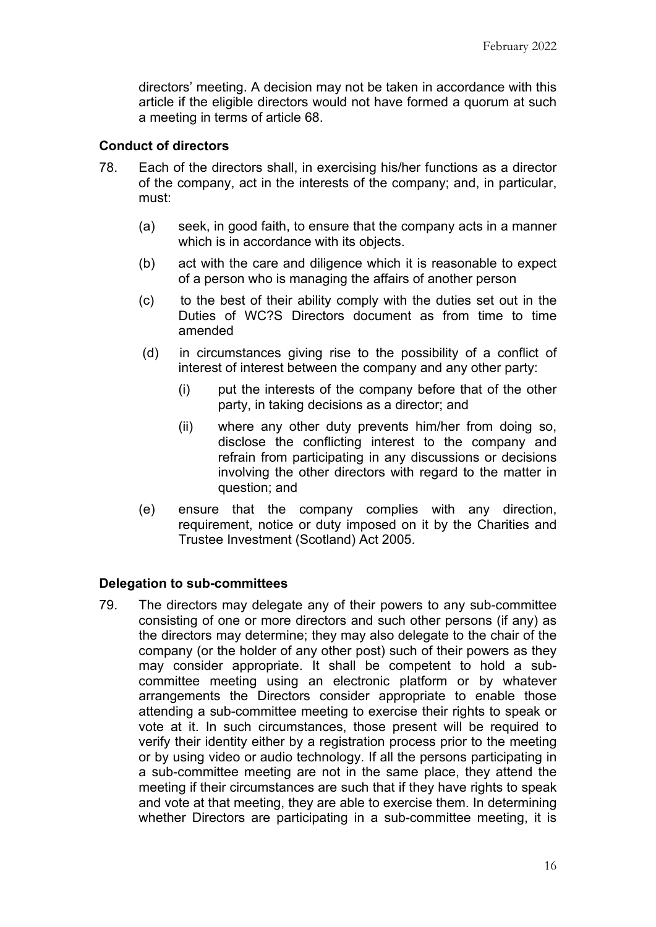directors' meeting. A decision may not be taken in accordance with this article if the eligible directors would not have formed a quorum at such a meeting in terms of article 68.

### **Conduct of directors**

- 78. Each of the directors shall, in exercising his/her functions as a director of the company, act in the interests of the company; and, in particular, must:
	- (a) seek, in good faith, to ensure that the company acts in a manner which is in accordance with its objects.
	- (b) act with the care and diligence which it is reasonable to expect of a person who is managing the affairs of another person
	- (c) to the best of their ability comply with the duties set out in the Duties of WC?S Directors document as from time to time amended
	- (d) in circumstances giving rise to the possibility of a conflict of interest of interest between the company and any other party:
		- (i) put the interests of the company before that of the other party, in taking decisions as a director; and
		- (ii) where any other duty prevents him/her from doing so, disclose the conflicting interest to the company and refrain from participating in any discussions or decisions involving the other directors with regard to the matter in question; and
	- (e) ensure that the company complies with any direction, requirement, notice or duty imposed on it by the Charities and Trustee Investment (Scotland) Act 2005.

#### **Delegation to sub-committees**

79. The directors may delegate any of their powers to any sub-committee consisting of one or more directors and such other persons (if any) as the directors may determine; they may also delegate to the chair of the company (or the holder of any other post) such of their powers as they may consider appropriate. It shall be competent to hold a subcommittee meeting using an electronic platform or by whatever arrangements the Directors consider appropriate to enable those attending a sub-committee meeting to exercise their rights to speak or vote at it. In such circumstances, those present will be required to verify their identity either by a registration process prior to the meeting or by using video or audio technology. If all the persons participating in a sub-committee meeting are not in the same place, they attend the meeting if their circumstances are such that if they have rights to speak and vote at that meeting, they are able to exercise them. In determining whether Directors are participating in a sub-committee meeting, it is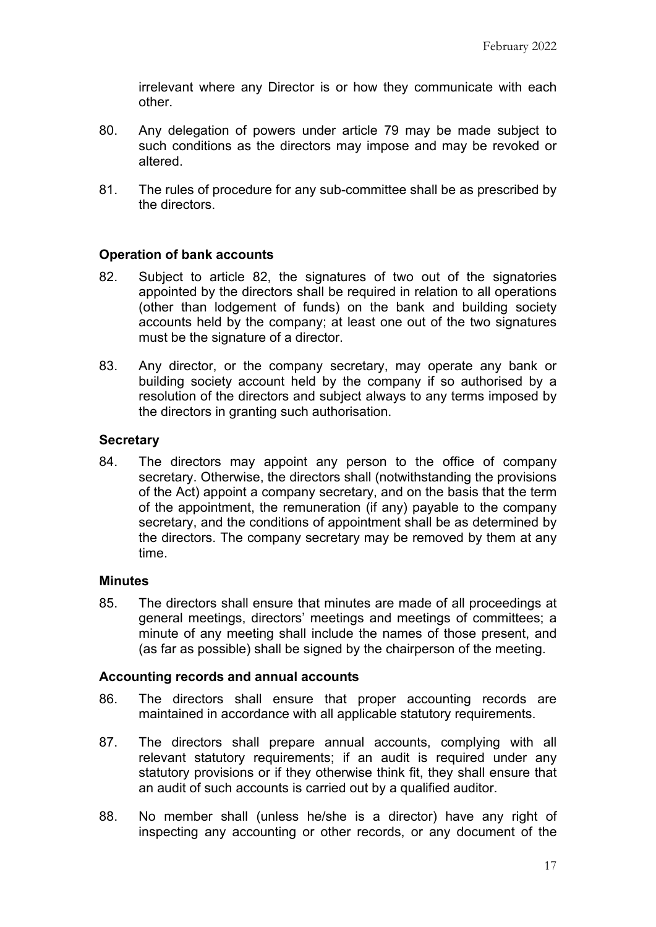irrelevant where any Director is or how they communicate with each other.

- 80. Any delegation of powers under article 79 may be made subject to such conditions as the directors may impose and may be revoked or altered.
- 81. The rules of procedure for any sub-committee shall be as prescribed by the directors.

# **Operation of bank accounts**

- 82. Subject to article 82, the signatures of two out of the signatories appointed by the directors shall be required in relation to all operations (other than lodgement of funds) on the bank and building society accounts held by the company; at least one out of the two signatures must be the signature of a director.
- 83. Any director, or the company secretary, may operate any bank or building society account held by the company if so authorised by a resolution of the directors and subject always to any terms imposed by the directors in granting such authorisation.

### **Secretary**

84. The directors may appoint any person to the office of company secretary. Otherwise, the directors shall (notwithstanding the provisions of the Act) appoint a company secretary, and on the basis that the term of the appointment, the remuneration (if any) payable to the company secretary, and the conditions of appointment shall be as determined by the directors. The company secretary may be removed by them at any time.

### **Minutes**

85. The directors shall ensure that minutes are made of all proceedings at general meetings, directors' meetings and meetings of committees; a minute of any meeting shall include the names of those present, and (as far as possible) shall be signed by the chairperson of the meeting.

### **Accounting records and annual accounts**

- 86. The directors shall ensure that proper accounting records are maintained in accordance with all applicable statutory requirements.
- 87. The directors shall prepare annual accounts, complying with all relevant statutory requirements; if an audit is required under any statutory provisions or if they otherwise think fit, they shall ensure that an audit of such accounts is carried out by a qualified auditor.
- 88. No member shall (unless he/she is a director) have any right of inspecting any accounting or other records, or any document of the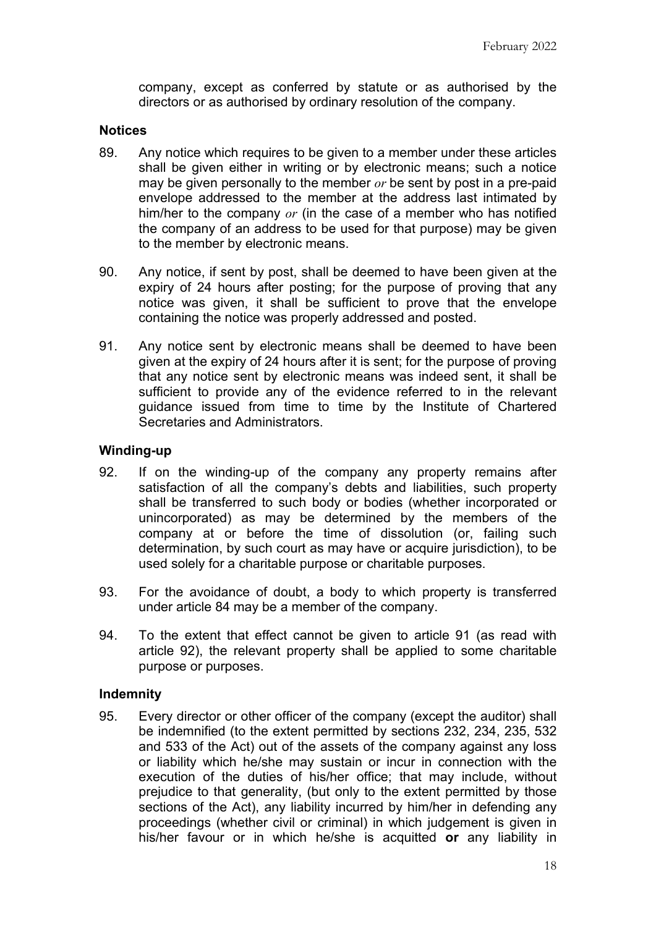company, except as conferred by statute or as authorised by the directors or as authorised by ordinary resolution of the company.

#### **Notices**

- 89. Any notice which requires to be given to a member under these articles shall be given either in writing or by electronic means; such a notice may be given personally to the member *or* be sent by post in a pre-paid envelope addressed to the member at the address last intimated by him/her to the company *or* (in the case of a member who has notified the company of an address to be used for that purpose) may be given to the member by electronic means.
- 90. Any notice, if sent by post, shall be deemed to have been given at the expiry of 24 hours after posting; for the purpose of proving that any notice was given, it shall be sufficient to prove that the envelope containing the notice was properly addressed and posted.
- 91. Any notice sent by electronic means shall be deemed to have been given at the expiry of 24 hours after it is sent; for the purpose of proving that any notice sent by electronic means was indeed sent, it shall be sufficient to provide any of the evidence referred to in the relevant guidance issued from time to time by the Institute of Chartered Secretaries and Administrators.

### **Winding-up**

- 92. If on the winding-up of the company any property remains after satisfaction of all the company's debts and liabilities, such property shall be transferred to such body or bodies (whether incorporated or unincorporated) as may be determined by the members of the company at or before the time of dissolution (or, failing such determination, by such court as may have or acquire jurisdiction), to be used solely for a charitable purpose or charitable purposes.
- 93. For the avoidance of doubt, a body to which property is transferred under article 84 may be a member of the company.
- 94. To the extent that effect cannot be given to article 91 (as read with article 92), the relevant property shall be applied to some charitable purpose or purposes.

#### **Indemnity**

95. Every director or other officer of the company (except the auditor) shall be indemnified (to the extent permitted by sections 232, 234, 235, 532 and 533 of the Act) out of the assets of the company against any loss or liability which he/she may sustain or incur in connection with the execution of the duties of his/her office; that may include, without prejudice to that generality, (but only to the extent permitted by those sections of the Act), any liability incurred by him/her in defending any proceedings (whether civil or criminal) in which judgement is given in his/her favour or in which he/she is acquitted **or** any liability in